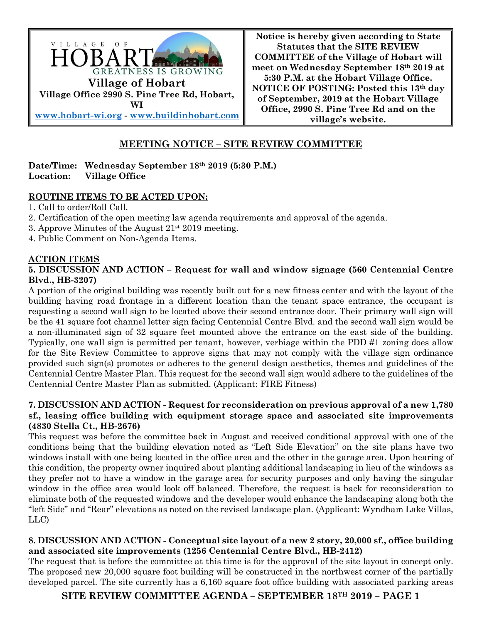

**Notice is hereby given according to State Statutes that the SITE REVIEW COMMITTEE of the Village of Hobart will meet on Wednesday September 18th 2019 at 5:30 P.M. at the Hobart Village Office. NOTICE OF POSTING: Posted this 13th day of September, 2019 at the Hobart Village Office, 2990 S. Pine Tree Rd and on the village's website.**

# **MEETING NOTICE – SITE REVIEW COMMITTEE**

#### **Date/Time: Wednesday September 18th 2019 (5:30 P.M.) Location: Village Office**

### **ROUTINE ITEMS TO BE ACTED UPON:**

1. Call to order/Roll Call.

- 2. Certification of the open meeting law agenda requirements and approval of the agenda.
- 3. Approve Minutes of the August  $21^{st}$  2019 meeting.
- 4. Public Comment on Non-Agenda Items.

#### **ACTION ITEMS**

#### **5. DISCUSSION AND ACTION – Request for wall and window signage (560 Centennial Centre Blvd., HB-3207)**

A portion of the original building was recently built out for a new fitness center and with the layout of the building having road frontage in a different location than the tenant space entrance, the occupant is requesting a second wall sign to be located above their second entrance door. Their primary wall sign will be the 41 square foot channel letter sign facing Centennial Centre Blvd. and the second wall sign would be a non-illuminated sign of 32 square feet mounted above the entrance on the east side of the building. Typically, one wall sign is permitted per tenant, however, verbiage within the PDD #1 zoning does allow for the Site Review Committee to approve signs that may not comply with the village sign ordinance provided such sign(s) promotes or adheres to the general design aesthetics, themes and guidelines of the Centennial Centre Master Plan. This request for the second wall sign would adhere to the guidelines of the Centennial Centre Master Plan as submitted. (Applicant: FIRE Fitness)

### **7. DISCUSSION AND ACTION - Request for reconsideration on previous approval of a new 1,780 sf., leasing office building with equipment storage space and associated site improvements (4830 Stella Ct., HB-2676)**

This request was before the committee back in August and received conditional approval with one of the conditions being that the building elevation noted as "Left Side Elevation" on the site plans have two windows install with one being located in the office area and the other in the garage area. Upon hearing of this condition, the property owner inquired about planting additional landscaping in lieu of the windows as they prefer not to have a window in the garage area for security purposes and only having the singular window in the office area would look off balanced. Therefore, the request is back for reconsideration to eliminate both of the requested windows and the developer would enhance the landscaping along both the "left Side" and "Rear" elevations as noted on the revised landscape plan. (Applicant: Wyndham Lake Villas, LLC)

### **8. DISCUSSION AND ACTION - Conceptual site layout of a new 2 story, 20,000 sf., office building and associated site improvements (1256 Centennial Centre Blvd., HB-2412)**

The request that is before the committee at this time is for the approval of the site layout in concept only. The proposed new 20,000 square foot building will be constructed in the northwest corner of the partially developed parcel. The site currently has a 6,160 square foot office building with associated parking areas

**SITE REVIEW COMMITTEE AGENDA – SEPTEMBER 18TH 2019 – PAGE 1**